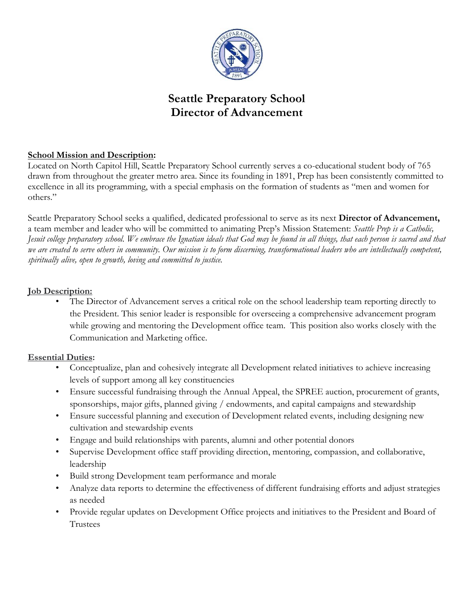

# **Seattle Preparatory School Director of Advancement**

# **School Mission and Description:**

Located on North Capitol Hill, Seattle Preparatory School currently serves a co-educational student body of 765 drawn from throughout the greater metro area. Since its founding in 1891, Prep has been consistently committed to excellence in all its programming, with a special emphasis on the formation of students as "men and women for others."

Seattle Preparatory School seeks a qualified, dedicated professional to serve as its next **Director of Advancement,** a team member and leader who will be committed to animating Prep's Mission Statement: *Seattle Prep is a Catholic, Jesuit college preparatory school. We embrace the Ignatian ideals that God may be found in all things, that each person is sacred and that we are created to serve others in community. Our mission is to form discerning, transformational leaders who are intellectually competent, spiritually alive, open to growth, loving and committed to justice.*

## **Job Description:**

The Director of Advancement serves a critical role on the school leadership team reporting directly to the President. This senior leader is responsible for overseeing a comprehensive advancement program while growing and mentoring the Development office team. This position also works closely with the Communication and Marketing office.

## **Essential Duties:**

- Conceptualize, plan and cohesively integrate all Development related initiatives to achieve increasing levels of support among all key constituencies
- Ensure successful fundraising through the Annual Appeal, the SPREE auction, procurement of grants, sponsorships, major gifts, planned giving / endowments, and capital campaigns and stewardship
- Ensure successful planning and execution of Development related events, including designing new cultivation and stewardship events
- Engage and build relationships with parents, alumni and other potential donors
- Supervise Development office staff providing direction, mentoring, compassion, and collaborative, leadership
- Build strong Development team performance and morale
- Analyze data reports to determine the effectiveness of different fundraising efforts and adjust strategies as needed
- Provide regular updates on Development Office projects and initiatives to the President and Board of Trustees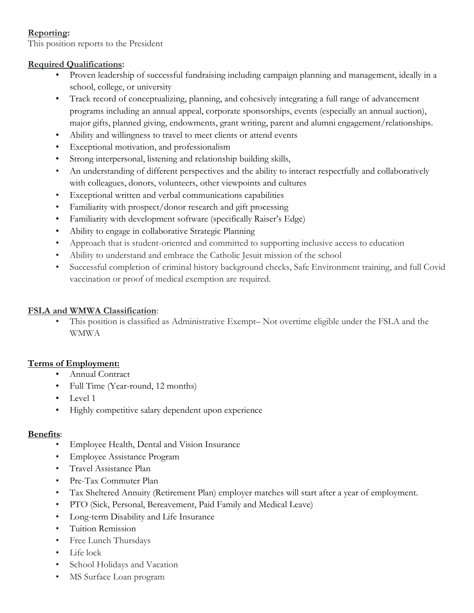## **Reporting:**

This position reports to the President

## **Required Qualifications:**

- Proven leadership of successful fundraising including campaign planning and management, ideally in a school, college, or university
- Track record of conceptualizing, planning, and cohesively integrating a full range of advancement programs including an annual appeal, corporate sponsorships, events (especially an annual auction), major gifts, planned giving, endowments, grant writing, parent and alumni engagement/relationships.
- Ability and willingness to travel to meet clients or attend events
- Exceptional motivation, and professionalism
- Strong interpersonal, listening and relationship building skills,
- An understanding of different perspectives and the ability to interact respectfully and collaboratively with colleagues, donors, volunteers, other viewpoints and cultures
- Exceptional written and verbal communications capabilities
- Familiarity with prospect/donor research and gift processing
- Familiarity with development software (specifically Raiser's Edge)
- Ability to engage in collaborative Strategic Planning
- Approach that is student-oriented and committed to supporting inclusive access to education
- Ability to understand and embrace the Catholic Jesuit mission of the school
- Successful completion of criminal history background checks, Safe Environment training, and full Covid vaccination or proof of medical exemption are required.

# **FSLA and WMWA Classification**:

• This position is classified as Administrative Exempt– Not overtime eligible under the FSLA and the WMWA

# **Terms of Employment:**

- Annual Contract
- Full Time (Year-round, 12 months)
- Level 1
- Highly competitive salary dependent upon experience

## **Benefits**:

- Employee Health, Dental and Vision Insurance
- Employee Assistance Program
- Travel Assistance Plan
- Pre-Tax Commuter Plan
- Tax Sheltered Annuity (Retirement Plan) employer matches will start after a year of employment.
- PTO (Sick, Personal, Bereavement, Paid Family and Medical Leave)
- Long-term Disability and Life Insurance
- Tuition Remission
- Free Lunch Thursdays
- Life lock
- School Holidays and Vacation
- MS Surface Loan program